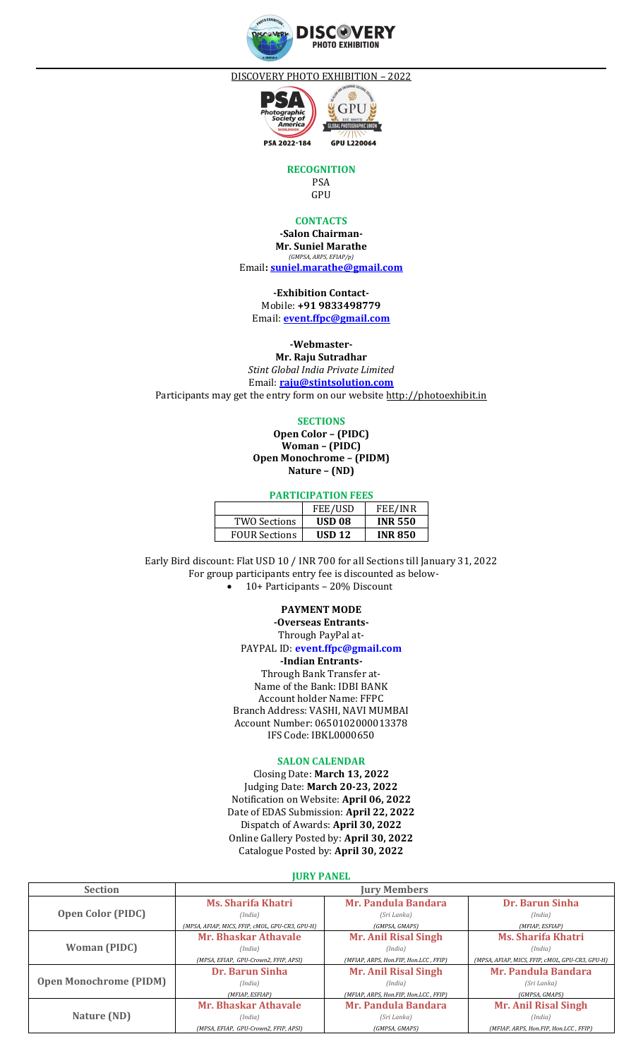

DISCOVERY PHOTO EXHIBITION – 2022



**RECOGNITION**

PSA GPU

### **CONTACTS**

**-Salon Chairman-Mr. Suniel Marathe** *(GMPSA, ARPS, EFIAP/p)* Email**[: suniel.marathe@gmail.com](mailto:suniel.marathe@gmail.com)**

**-Exhibition Contact-**Mobile: **+91 9833498779** Email: **[event.ffpc@gmail.com](mailto:event.ffpc@gmail.com)**

**-Webmaster-**

**Mr. Raju Sutradhar** *Stint Global India Private Limited* Email: **[raju@stintsolution.com](mailto:raju@stintsolution.com)**

Participants may get the entry form on our website [http://photoexhibit.in](http://photoexhibit.in/)

**SECTIONS**

**Open Color – (PIDC) Woman – (PIDC) Open Monochrome – (PIDM) Nature – (ND)**

# **PARTICIPATION FEES**

|                      | <b>FEE/USD</b>    | <b>FEE/INR</b> |
|----------------------|-------------------|----------------|
| TWO Sections         | USD <sub>08</sub> | <b>INR 550</b> |
| <b>FOUR Sections</b> | <b>USD 12</b>     | <b>INR850</b>  |

Early Bird discount: Flat USD 10 / INR 700 for all Sections till January 31, 2022 For group participants entry fee is discounted as below- • 10+ Participants – 20% Discount

#### **PAYMENT MODE**

**-Overseas Entrants-**Through PayPal at-PAYPAL ID: **event.ffpc@gmail.com -Indian Entrants-**Through Bank Transfer at-Name of the Bank: IDBI BANK Account holder Name: FFPC Branch Address: VASHI, NAVI MUMBAI Account Number: 0650102000013378 IFS Code: IBKL0000650

#### **SALON CALENDAR**

Closing Date: **March 13, 2022** Judging Date: **March 20-23, 2022** Notification on Website: **April 06, 2022** Date of EDAS Submission: **April 22, 2022** Dispatch of Awards: **April 30, 2022** Online Gallery Posted by: **April 30, 2022** Catalogue Posted by: **April 30, 2022**

## **JURY PANEL**

| <b>Section</b>                | <b>Jury Members</b>                             |                                       |                                                 |
|-------------------------------|-------------------------------------------------|---------------------------------------|-------------------------------------------------|
| <b>Open Color (PIDC)</b>      | <b>Ms. Sharifa Khatri</b>                       | Mr. Pandula Bandara                   | Dr. Barun Sinha                                 |
|                               | (India)                                         | (Sri Lanka)                           | (India)                                         |
|                               | (MPSA, AFIAP, MICS, FFIP, cMOL, GPU-CR3, GPU-H) | (GMPSA, GMAPS)                        | (MFIAP, ESFIAP)                                 |
| <b>Woman (PIDC)</b>           | Mr. Bhaskar Athavale                            | <b>Mr. Anil Risal Singh</b>           | <b>Ms. Sharifa Khatri</b>                       |
|                               | (India)                                         | (India)                               | (India)                                         |
|                               | (MPSA, EFIAP, GPU-Crown2, FFIP, APSI)           | (MFIAP, ARPS, Hon.FIP, Hon.LCC, FFIP) | (MPSA, AFIAP, MICS, FFIP, cMOL, GPU-CR3, GPU-H) |
| <b>Open Monochrome (PIDM)</b> | Dr. Barun Sinha                                 | <b>Mr. Anil Risal Singh</b>           | <b>Mr. Pandula Bandara</b>                      |
|                               | (India)                                         | (India)                               | (Sri Lanka)                                     |
|                               | (MFIAP, ESFIAP)                                 | (MFIAP, ARPS, Hon.FIP, Hon.LCC, FFIP) | (GMPSA, GMAPS)                                  |
| Nature (ND)                   | <b>Mr. Bhaskar Athavale</b>                     | <b>Mr. Pandula Bandara</b>            | Mr. Anil Risal Singh                            |
|                               | (India)                                         | (Sri Lanka)                           | (India)                                         |
|                               | (MPSA, EFIAP, GPU-Crown2, FFIP, APSI)           | (GMPSA, GMAPS)                        | (MFIAP, ARPS, Hon.FIP, Hon.LCC, FFIP)           |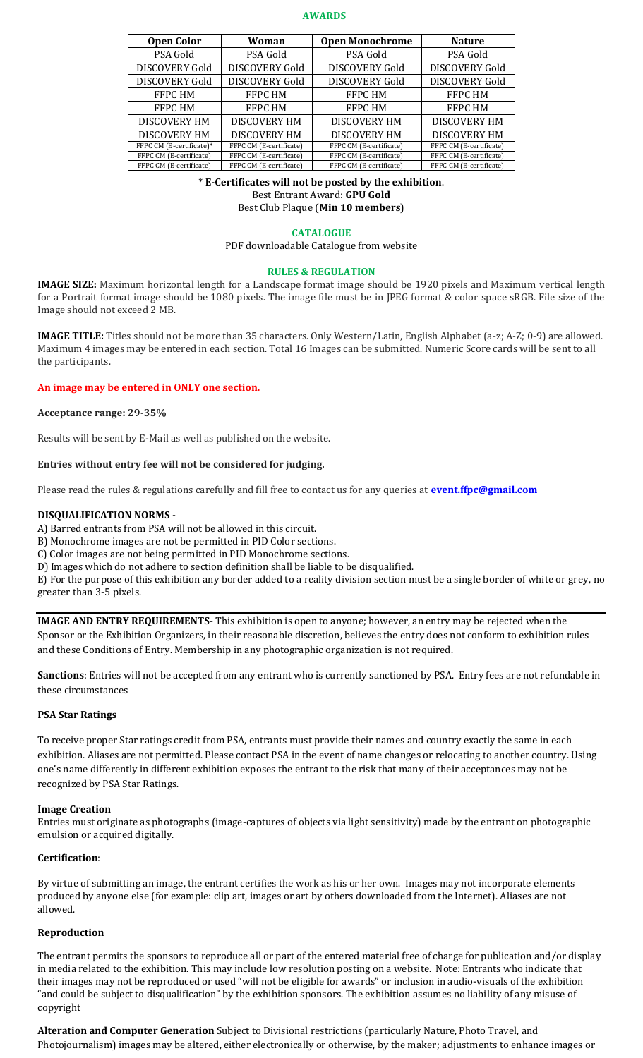#### **AWARDS**

| <b>Open Color</b>        | Woman                   | <b>Open Monochrome</b>  | <b>Nature</b>           |
|--------------------------|-------------------------|-------------------------|-------------------------|
| PSA Gold                 | PSA Gold                | PSA Gold                | PSA Gold                |
| <b>DISCOVERY Gold</b>    | <b>DISCOVERY Gold</b>   | <b>DISCOVERY Gold</b>   | <b>DISCOVERY Gold</b>   |
| <b>DISCOVERY Gold</b>    | <b>DISCOVERY Gold</b>   | <b>DISCOVERY Gold</b>   | <b>DISCOVERY Gold</b>   |
| <b>FFPC HM</b>           | FFPC HM                 | <b>FFPC HM</b>          | <b>FFPC HM</b>          |
| <b>FFPC HM</b>           | FFPC HM                 | <b>FFPC HM</b>          | <b>FFPC HM</b>          |
| <b>DISCOVERY HM</b>      | <b>DISCOVERY HM</b>     | <b>DISCOVERY HM</b>     | <b>DISCOVERY HM</b>     |
| <b>DISCOVERY HM</b>      | <b>DISCOVERY HM</b>     | <b>DISCOVERY HM</b>     | <b>DISCOVERY HM</b>     |
| FFPC CM (E-certificate)* | FFPC CM (E-certificate) | FFPC CM (E-certificate) | FFPC CM (E-certificate) |
| FFPC CM (E-certificate)  | FFPC CM (E-certificate) | FFPC CM (E-certificate) | FFPC CM (E-certificate) |
| FFPC CM (E-certificate)  | FFPC CM (E-certificate) | FFPC CM (E-certificate) | FFPC CM (E-certificate) |

\* **E-Certificates will not be posted by the exhibition**.

Best Entrant Award: **GPU Gold**

Best Club Plaque (**Min 10 members**)

### **CATALOGUE**

PDF downloadable Catalogue from website

### **RULES & REGULATION**

**IMAGE SIZE:** Maximum horizontal length for a Landscape format image should be 1920 pixels and Maximum vertical length for a Portrait format image should be 1080 pixels. The image file must be in JPEG format & color space sRGB. File size of the Image should not exceed 2 MB.

**IMAGE TITLE:** Titles should not be more than 35 characters. Only Western/Latin, English Alphabet (a-z; A-Z; 0-9) are allowed. Maximum 4 images may be entered in each section. Total 16 Images can be submitted. Numeric Score cards will be sent to all the participants.

# **An image may be entered in ONLY one section.**

### **Acceptance range: 29-35%**

Results will be sent by E-Mail as well as published on the website.

# **Entries without entry fee will not be considered for judging.**

Please read the rules & regulations carefully and fill free to contact us for any queries at **[event.ffpc@gmail.com](mailto:event.ffpc@gmail.com)**

# **DISQUALIFICATION NORMS -**

A) Barred entrants from PSA will not be allowed in this circuit.

B) Monochrome images are not be permitted in PID Color sections.

C) Color images are not being permitted in PID Monochrome sections.

D) Images which do not adhere to section definition shall be liable to be disqualified.

E) For the purpose of this exhibition any border added to a reality division section must be a single border of white or grey, no greater than 3-5 pixels.

**IMAGE AND ENTRY REQUIREMENTS-** This exhibition is open to anyone; however, an entry may be rejected when the Sponsor or the Exhibition Organizers, in their reasonable discretion, believes the entry does not conform to exhibition rules and these Conditions of Entry. Membership in any photographic organization is not required.

**Sanctions**: Entries will not be accepted from any entrant who is currently sanctioned by PSA. Entry fees are not refundable in these circumstances

### **PSA Star Ratings**

To receive proper Star ratings credit from PSA, entrants must provide their names and country exactly the same in each exhibition. Aliases are not permitted. Please contact PSA in the event of name changes or relocating to another country. Using one's name differently in different exhibition exposes the entrant to the risk that many of their acceptances may not be recognized by PSA Star Ratings.

### **Image Creation**

Entries must originate as photographs (image-captures of objects via light sensitivity) made by the entrant on photographic emulsion or acquired digitally.

# **Certification**:

By virtue of submitting an image, the entrant certifies the work as his or her own. Images may not incorporate elements produced by anyone else (for example: clip art, images or art by others downloaded from the Internet). Aliases are not allowed.

# **Reproduction**

The entrant permits the sponsors to reproduce all or part of the entered material free of charge for publication and/or display in media related to the exhibition. This may include low resolution posting on a website. Note: Entrants who indicate that their images may not be reproduced or used "will not be eligible for awards" or inclusion in audio-visuals of the exhibition "and could be subject to disqualification" by the exhibition sponsors. The exhibition assumes no liability of any misuse of copyright

**Alteration and Computer Generation** Subject to Divisional restrictions (particularly Nature, Photo Travel, and Photojournalism) images may be altered, either electronically or otherwise, by the maker; adjustments to enhance images or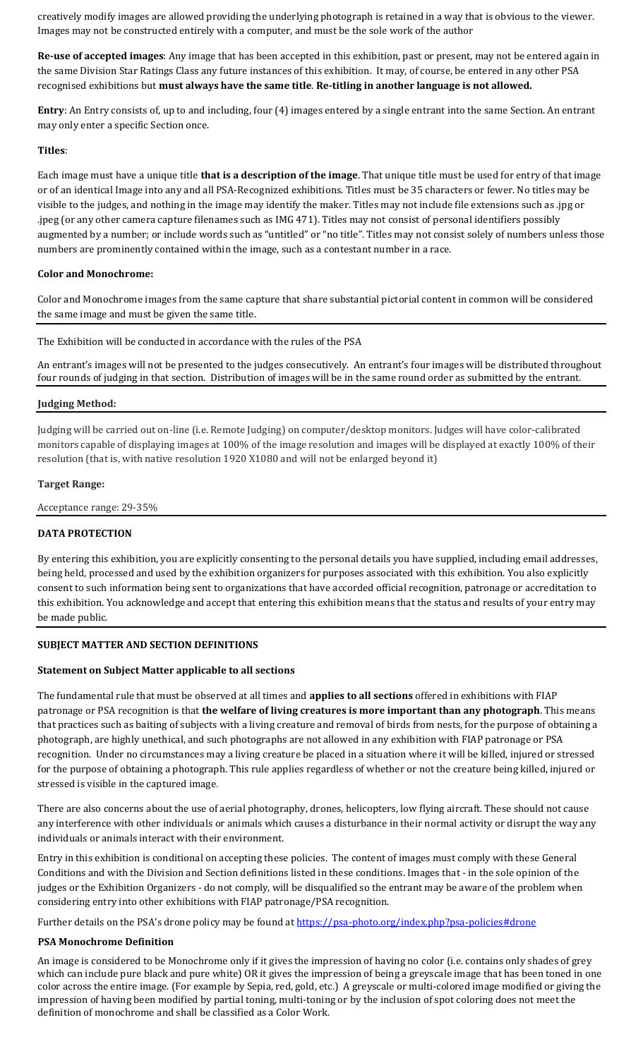creatively modify images are allowed providing the underlying photograph is retained in a way that is obvious to the viewer. Images may not be constructed entirely with a computer, and must be the sole work of the author

**Re-use of accepted images**: Any image that has been accepted in this exhibition, past or present, may not be entered again in the same Division Star Ratings Class any future instances of this exhibition. It may, of course, be entered in any other PSA recognised exhibitions but **must always have the same title**. **Re-titling in another language is not allowed.**

**Entry**: An Entry consists of, up to and including, four (4) images entered by a single entrant into the same Section. An entrant may only enter a specific Section once.

### **Titles**:

Each image must have a unique title **that is a description of the image**. That unique title must be used for entry of that image or of an identical Image into any and all PSA-Recognized exhibitions. Titles must be 35 characters or fewer. No titles may be visible to the judges, and nothing in the image may identify the maker. Titles may not include file extensions such as .jpg or .jpeg (or any other camera capture filenames such as IMG 471). Titles may not consist of personal identifiers possibly augmented by a number; or include words such as "untitled" or "no title". Titles may not consist solely of numbers unless those numbers are prominently contained within the image, such as a contestant number in a race.

# **Color and Monochrome:**

Color and Monochrome images from the same capture that share substantial pictorial content in common will be considered the same image and must be given the same title.

The Exhibition will be conducted in accordance with the rules of the PSA

An entrant's images will not be presented to the judges consecutively. An entrant's four images will be distributed throughout four rounds of judging in that section. Distribution of images will be in the same round order as submitted by the entrant.

# **Judging Method:**

Judging will be carried out on-line (i.e. Remote Judging) on computer/desktop monitors. Judges will have color-calibrated monitors capable of displaying images at 100% of the image resolution and images will be displayed at exactly 100% of their resolution (that is, with native resolution 1920 X1080 and will not be enlarged beyond it)

### **Target Range:**

Acceptance range: 29-35%

# **DATA PROTECTION**

By entering this exhibition, you are explicitly consenting to the personal details you have supplied, including email addresses, being held, processed and used by the exhibition organizers for purposes associated with this exhibition. You also explicitly consent to such information being sent to organizations that have accorded official recognition, patronage or accreditation to this exhibition. You acknowledge and accept that entering this exhibition means that the status and results of your entry may be made public.

# **SUBJECT MATTER AND SECTION DEFINITIONS**

### **Statement on Subject Matter applicable to all sections**

The fundamental rule that must be observed at all times and **applies to all sections** offered in exhibitions with FIAP patronage or PSA recognition is that **the welfare of living creatures is more important than any photograph**. This means that practices such as baiting of subjects with a living creature and removal of birds from nests, for the purpose of obtaining a photograph, are highly unethical, and such photographs are not allowed in any exhibition with FIAP patronage or PSA recognition. Under no circumstances may a living creature be placed in a situation where it will be killed, injured or stressed for the purpose of obtaining a photograph. This rule applies regardless of whether or not the creature being killed, injured or stressed is visible in the captured image.

There are also concerns about the use of aerial photography, drones, helicopters, low flying aircraft. These should not cause any interference with other individuals or animals which causes a disturbance in their normal activity or disrupt the way any individuals or animals interact with their environment.

Entry in this exhibition is conditional on accepting these policies. The content of images must comply with these General Conditions and with the Division and Section definitions listed in these conditions. Images that - in the sole opinion of the judges or the Exhibition Organizers - do not comply, will be disqualified so the entrant may be aware of the problem when considering entry into other exhibitions with FIAP patronage/PSA recognition.

Further details on the PSA's drone policy may be found at [https://psa-photo.org/index.php?psa-policies#drone](https://psa-photo.org/index.php?psa-policies%23drone)

### **PSA Monochrome Definition**

An image is considered to be Monochrome only if it gives the impression of having no color (i.e. contains only shades of grey which can include pure black and pure white) OR it gives the impression of being a greyscale image that has been toned in one color across the entire image. (For example by Sepia, red, gold, etc.) A greyscale or multi-colored image modified or giving the impression of having been modified by partial toning, multi-toning or by the inclusion of spot coloring does not meet the definition of monochrome and shall be classified as a Color Work.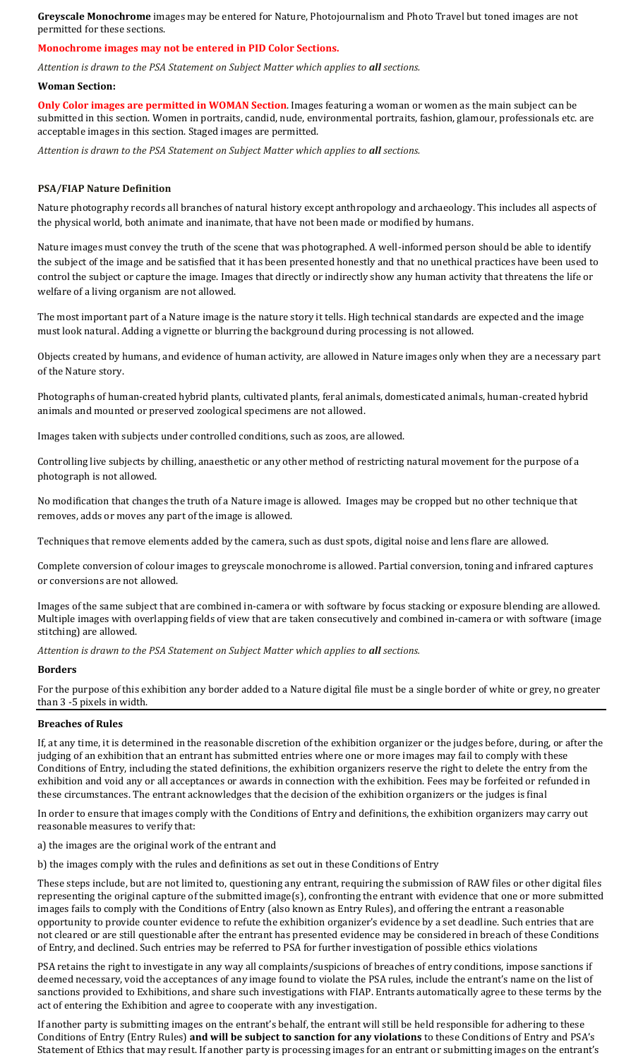**Greyscale Monochrome** images may be entered for Nature, Photojournalism and Photo Travel but toned images are not permitted for these sections.

# **Monochrome images may not be entered in PID Color Sections.**

*Attention is drawn to the PSA Statement on Subject Matter which applies to all sections.*

#### **Woman Section:**

**Only Color images are permitted in WOMAN Section**. Images featuring a woman or women as the main subject can be submitted in this section. Women in portraits, candid, nude, environmental portraits, fashion, glamour, professionals etc. are acceptable images in this section. Staged images are permitted.

*Attention is drawn to the PSA Statement on Subject Matter which applies to all sections.*

### **PSA/FIAP Nature Definition**

Nature photography records all branches of natural history except anthropology and archaeology. This includes all aspects of the physical world, both animate and inanimate, that have not been made or modified by humans.

Nature images must convey the truth of the scene that was photographed. A well-informed person should be able to identify the subject of the image and be satisfied that it has been presented honestly and that no unethical practices have been used to control the subject or capture the image. Images that directly or indirectly show any human activity that threatens the life or welfare of a living organism are not allowed.

The most important part of a Nature image is the nature story it tells. High technical standards are expected and the image must look natural. Adding a vignette or blurring the background during processing is not allowed.

Objects created by humans, and evidence of human activity, are allowed in Nature images only when they are a necessary part of the Nature story.

Photographs of human-created hybrid plants, cultivated plants, feral animals, domesticated animals, human-created hybrid animals and mounted or preserved zoological specimens are not allowed.

Images taken with subjects under controlled conditions, such as zoos, are allowed.

Controlling live subjects by chilling, anaesthetic or any other method of restricting natural movement for the purpose of a photograph is not allowed.

No modification that changes the truth of a Nature image is allowed. Images may be cropped but no other technique that removes, adds or moves any part of the image is allowed.

Techniques that remove elements added by the camera, such as dust spots, digital noise and lens flare are allowed.

Complete conversion of colour images to greyscale monochrome is allowed. Partial conversion, toning and infrared captures or conversions are not allowed.

Images of the same subject that are combined in-camera or with software by focus stacking or exposure blending are allowed. Multiple images with overlapping fields of view that are taken consecutively and combined in-camera or with software (image stitching) are allowed.

*Attention is drawn to the PSA Statement on Subject Matter which applies to all sections.*

### **Borders**

For the purpose of this exhibition any border added to a Nature digital file must be a single border of white or grey, no greater than 3 -5 pixels in width.

### **Breaches of Rules**

If, at any time, it is determined in the reasonable discretion of the exhibition organizer or the judges before, during, or after the judging of an exhibition that an entrant has submitted entries where one or more images may fail to comply with these Conditions of Entry, including the stated definitions, the exhibition organizers reserve the right to delete the entry from the exhibition and void any or all acceptances or awards in connection with the exhibition. Fees may be forfeited or refunded in these circumstances. The entrant acknowledges that the decision of the exhibition organizers or the judges is final

In order to ensure that images comply with the Conditions of Entry and definitions, the exhibition organizers may carry out reasonable measures to verify that:

a) the images are the original work of the entrant and

b) the images comply with the rules and definitions as set out in these Conditions of Entry

These steps include, but are not limited to, questioning any entrant, requiring the submission of RAW files or other digital files representing the original capture of the submitted image(s), confronting the entrant with evidence that one or more submitted images fails to comply with the Conditions of Entry (also known as Entry Rules), and offering the entrant a reasonable opportunity to provide counter evidence to refute the exhibition organizer's evidence by a set deadline. Such entries that are not cleared or are still questionable after the entrant has presented evidence may be considered in breach of these Conditions of Entry, and declined. Such entries may be referred to PSA for further investigation of possible ethics violations

PSA retains the right to investigate in any way all complaints/suspicions of breaches of entry conditions, impose sanctions if deemed necessary, void the acceptances of any image found to violate the PSA rules, include the entrant's name on the list of sanctions provided to Exhibitions, and share such investigations with FIAP. Entrants automatically agree to these terms by the act of entering the Exhibition and agree to cooperate with any investigation.

If another party is submitting images on the entrant's behalf, the entrant will still be held responsible for adhering to these Conditions of Entry (Entry Rules) **and will be subject to sanction for any violations** to these Conditions of Entry and PSA's Statement of Ethics that may result. If another party is processing images for an entrant or submitting images on the entrant's